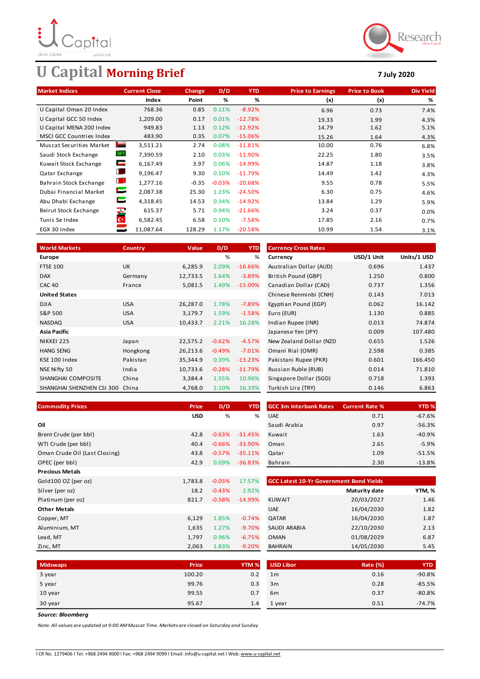

# **U Capital Morning Brief 7 July 2020**



| <b>Market Indices</b>           | <b>Current Close</b>       | <b>Change</b> | D/D      | <b>YTD</b> | <b>Price to Earnings</b> | <b>Price to Book</b> | <b>Div Yield</b> |
|---------------------------------|----------------------------|---------------|----------|------------|--------------------------|----------------------|------------------|
|                                 | Index                      | Point         | %        | %          | (x)                      | (x)                  | %                |
| U Capital Oman 20 Index         | 768.36                     | 0.85          | 0.11%    | $-8.92%$   | 6.96                     | 0.73                 | 7.4%             |
| U Capital GCC 50 Index          | 1,209.00                   | 0.17          | 0.01%    | $-12.78%$  | 19.33                    | 1.99                 | 4.3%             |
| U Capital MENA 200 Index        | 949.83                     | 1.13          | 0.12%    | $-12.92%$  | 14.79                    | 1.62                 | 5.1%             |
| <b>MSCI GCC Countries Index</b> | 483.90                     | 0.35          | 0.07%    | $-15.06%$  | 15.26                    | 1.64                 | 4.3%             |
| <b>Muscat Securities Market</b> | <b>Support</b><br>3,511.21 | 2.74          | 0.08%    | $-11.81%$  | 10.00                    | 0.76                 | 6.8%             |
| Saudi Stock Exchange            | 寄り<br>7,390.59             | 2.10          | 0.03%    | $-11.90%$  | 22.25                    | 1.80                 | 3.5%             |
| Kuwait Stock Exchange           | <u>est</u><br>6,167.49     | 3.97          | 0.06%    | $-14.99\%$ | 14.87                    | 1.18                 | 3.8%             |
| Qatar Exchange                  | в.<br>9,196.47             | 9.30          | 0.10%    | $-11.79%$  | 14.49                    | 1.42                 | 4.3%             |
| Bahrain Stock Exchange          | w<br>1,277.16              | $-0.35$       | $-0.03%$ | $-20.68%$  | 9.55                     | 0.78                 | 5.5%             |
| Dubai Financial Market          | Е<br>2,087.38              | 25.30         | 1.23%    | $-24.50%$  | 6.30                     | 0.75                 | 4.6%             |
| Abu Dhabi Exchange              | c<br>4,318.45              | 14.53         | 0.34%    | $-14.92%$  | 13.84                    | 1.29                 | 5.9%             |
| Beirut Stock Exchange           | 产<br>615.37                | 5.71          | 0.94%    | $-21.66%$  | 3.24                     | 0.37                 | 0.0%             |
| Tunis Se Index                  | $\mathbf{C}^*$<br>6,582.45 | 6.58          | 0.10%    | $-7.58%$   | 17.85                    | 2.16                 | 0.7%             |
| EGX 30 Index                    | 11,087.64                  | 128.29        | 1.17%    | $-20.58%$  | 10.99                    | 1.54                 | 3.1%             |

| %<br>USD/1 Unit<br>%                                                                              | Units/1 USD |
|---------------------------------------------------------------------------------------------------|-------------|
| <b>Europe</b><br>Currency                                                                         |             |
| <b>FTSE 100</b><br><b>UK</b><br>2.09%<br>$-16.66%$<br>Australian Dollar (AUD)<br>0.696<br>6,285.9 | 1.437       |
| $-3.89%$<br><b>DAX</b><br>12,733.5<br>1.64%<br>British Pound (GBP)<br>1.250<br>Germany            | 0.800       |
| <b>CAC 40</b><br>5,081.5<br>1.49%<br>$-15.00\%$<br>Canadian Dollar (CAD)<br>0.737<br>France       | 1.356       |
| <b>United States</b><br>Chinese Renminbi (CNH)<br>0.143                                           | 7.013       |
| 26,287.0<br><b>DJIA</b><br><b>USA</b><br>1.78%<br>$-7.89%$<br>Egyptian Pound (EGP)<br>0.062       | 16.142      |
| S&P 500<br>3,179.7<br>1.59%<br>$-1.58%$<br>Euro (EUR)<br>1.130<br><b>USA</b>                      | 0.885       |
| <b>NASDAQ</b><br>2.21%<br>16.28%<br>0.013<br><b>USA</b><br>10,433.7<br>Indian Rupee (INR)         | 74.874      |
| 0.009<br><b>Asia Pacific</b><br>Japanese Yen (JPY)                                                | 107.480     |
| $-4.57%$<br>NIKKEI 225<br>22,575.2<br>$-0.62%$<br>New Zealand Dollar (NZD)<br>0.655<br>Japan      | 1.526       |
| $-7.01%$<br>Omani Rial (OMR)<br>2.598<br><b>HANG SENG</b><br>Hongkong<br>26,213.6<br>$-0.49%$     | 0.385       |
| 0.601<br>KSE 100 Index<br>Pakistan<br>35,344.9<br>0.39%<br>$-13.23%$<br>Pakistani Rupee (PKR)     | 166.450     |
| NSE Nifty 50<br>India<br>$-0.28%$<br>$-11.79%$<br>0.014<br>10,733.6<br>Russian Ruble (RUB)        | 71.810      |
| China<br>SHANGHAI COMPOSITE<br>3,384.4<br>1.55%<br>10.96%<br>Singapore Dollar (SGD)<br>0.718      | 1.393       |
| 2.10%<br>16.39%<br>Turkish Lira (TRY)<br>SHANGHAI SHENZHEN CSI 300 China<br>4,768.0<br>0.146      | 6.863       |

| <b>Commodity Prices</b>       | Price      | D/D      | <b>YTD</b> | <b>GCC 3m Interbank Rates</b>                  | <b>Current Rate %</b> | YTD <sub>%</sub> |
|-------------------------------|------------|----------|------------|------------------------------------------------|-----------------------|------------------|
|                               | <b>USD</b> | %        | %          | <b>UAE</b>                                     | 0.71                  | $-67.6%$         |
| Oil                           |            |          |            | Saudi Arabia                                   | 0.97                  | $-56.3%$         |
| Brent Crude (per bbl)         | 42.8       | $-0.63%$ | $-31.45%$  | Kuwait                                         | 1.63                  | $-40.9%$         |
| WTI Crude (per bbl)           | 40.4       | $-0.66%$ | $-33.90\%$ | Oman                                           | 2.65                  | $-5.9%$          |
| Oman Crude Oil (Last Closing) | 43.8       | $-0.57%$ | $-35.11%$  | Qatar                                          | 1.09                  | $-51.5%$         |
| OPEC (per bbl)                | 42.9       | $0.09\%$ | $-36.83%$  | Bahrain                                        | 2.30                  | $-13.8%$         |
| <b>Precious Metals</b>        |            |          |            |                                                |                       |                  |
| Gold100 OZ (per oz)           | 1,783.8    | $-0.05%$ | 17.57%     | <b>GCC Latest 10-Yr Government Bond Yields</b> |                       |                  |
| Silver (per oz)               | 18.2       | $-0.43%$ | 1.92%      |                                                | Maturity date         | YTM, %           |
| Platinum (per oz)             | 821.7      | $-0.58%$ | $-14.99%$  | <b>KUWAIT</b>                                  | 20/03/2027            | 1.46             |
| <b>Other Metals</b>           |            |          |            | <b>UAE</b>                                     | 16/04/2030            | 1.82             |
| Copper, MT                    | 6,129      | 1.85%    | $-0.74%$   | QATAR                                          | 16/04/2030            | 1.87             |
| Aluminium, MT                 | 1,635      | 1.27%    | $-9.70%$   | SAUDI ARABIA                                   | 22/10/2030            | 2.13             |
| Lead, MT                      | 1,797      | 0.96%    | $-6.75%$   | <b>OMAN</b>                                    | 01/08/2029            | 6.87             |
| Zinc, MT                      | 2,063      | 1.83%    | $-9.20%$   | <b>BAHRAIN</b>                                 | 14/05/2030            | 5.45             |

| <b>rice</b> | D/D      | <b>YTD</b> | <b>GCC 3m Interbank Rates</b> | <b>Current Rate %</b> | <b>YTD %</b> |
|-------------|----------|------------|-------------------------------|-----------------------|--------------|
| USD         | %        | %          | <b>UAE</b>                    | 0.71                  | $-67.6%$     |
|             |          |            | Saudi Arabia                  | 0.97                  | $-56.3%$     |
| 42.8        | $-0.63%$ | $-31.45%$  | Kuwait                        | 1.63                  | $-40.9%$     |
| 40.4        | $-0.66%$ | $-33.90%$  | Oman                          | 2.65                  | $-5.9%$      |
| 43.8        | $-0.57%$ | $-35.11%$  | Qatar                         | 1.09                  | $-51.5%$     |
| 42.9        | 0.09%    | $-36.83%$  | Bahrain                       | 2.30                  | $-13.8%$     |
|             |          |            |                               |                       |              |

| <b>GCC Latest 10-Yr Government Bond Yields</b> |                      |        |  |  |  |  |
|------------------------------------------------|----------------------|--------|--|--|--|--|
|                                                | <b>Maturity date</b> | YTM, % |  |  |  |  |
| <b>KUWAIT</b>                                  | 20/03/2027           | 1.46   |  |  |  |  |
| <b>UAE</b>                                     | 16/04/2030           | 1.82   |  |  |  |  |
| <b>QATAR</b>                                   | 16/04/2030           | 1.87   |  |  |  |  |
| SAUDI ARABIA                                   | 22/10/2030           | 2.13   |  |  |  |  |
| <b>OMAN</b>                                    | 01/08/2029           | 6.87   |  |  |  |  |
| <b>BAHRAIN</b>                                 | 14/05/2030           | 5.45   |  |  |  |  |

| <b>Midswaps</b> | Price  | YTM <sub>%</sub> | <b>USD Libor</b> | <b>Rate (%)</b> | <b>YTD</b> |
|-----------------|--------|------------------|------------------|-----------------|------------|
| 3 year          | 100.20 | 0.2              | 1 <sub>m</sub>   | 0.16            | $-90.8%$   |
| 5 year          | 99.76  | 0.3              | 3m               | 0.28            | $-85.5%$   |
| 10 year         | 99.55  | 0.7              | 6 <sub>m</sub>   | 0.37            | $-80.8%$   |
| 30 year         | 95.67  | 1.4              | 1 year           | 0.51            | $-74.7%$   |

*Source: Bloomberg*

*Note: All values are updated at 9:00 AM Muscat Time. Markets are closed on Saturday and Sunday*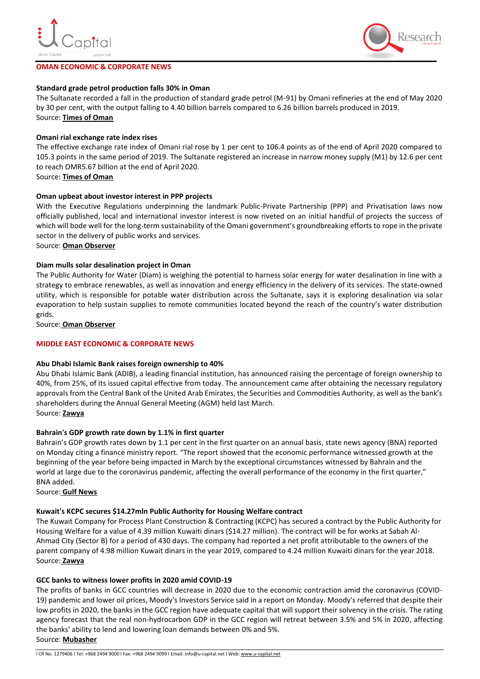

## **OMAN ECONOMIC & CORPORATE NEWS**



# **Standard grade petrol production falls 30% in Oman**

The Sultanate recorded a fall in the production of standard grade petrol (M-91) by Omani refineries at the end of May 2020 by 30 per cent, with the output falling to 4.40 billion barrels compared to 6.26 billion barrels produced in 2019. Source: **[Times of Oman](https://timesofoman.com/article/3016766/business/standard-grade-petrol-production-falls-30-in-oman)**

# **Omani rial exchange rate index rises**

The effective exchange rate index of Omani rial rose by 1 per cent to 106.4 points as of the end of April 2020 compared to 105.3 points in the same period of 2019. The Sultanate registered an increase in narrow money supply (M1) by 12.6 per cent to reach OMR5.67 billion at the end of April 2020.

Source: **[Times of Oman](https://timesofoman.com/article/3016760/business/omani-rial-exchange-rate-index-rises)**

# **Oman upbeat about investor interest in PPP projects**

With the Executive Regulations underpinning the landmark Public-Private Partnership (PPP) and Privatisation laws now officially published, local and international investor interest is now riveted on an initial handful of projects the success of which will bode well for the long-term sustainability of the Omani government's groundbreaking efforts to rope in the private sector in the delivery of public works and services.

Source: **[Oman Observer](https://www.omanobserver.om/oman-upbeat-about-investor-interest-in-ppp-projects/)**

# **Diam mulls solar desalination project in Oman**

The Public Authority for Water (Diam) is weighing the potential to harness solar energy for water desalination in line with a strategy to embrace renewables, as well as innovation and energy efficiency in the delivery of its services. The state-owned utility, which is responsible for potable water distribution across the Sultanate, says it is exploring desalination via solar evaporation to help sustain supplies to remote communities located beyond the reach of the country's water distribution grids.

Source: **[Oman Observer](https://www.omanobserver.om/diam-mulls-solar-desalination-project-in-oman/)**

## **MIDDLE EAST ECONOMIC & CORPORATE NEWS**

#### **Abu Dhabi Islamic Bank raises foreign ownership to 40%**

Abu Dhabi Islamic Bank (ADIB), a leading financial institution, has announced raising the percentage of foreign ownership to 40%, from 25%, of its issued capital effective from today. The announcement came after obtaining the necessary regulatory approvals from the Central Bank of the United Arab Emirates, the Securities and Commodities Authority, as well as the bank's shareholders during the Annual General Meeting (AGM) held last March. Source: **[Zawya](https://www.zawya.com/mena/en/press-releases/story/Abu_Dhabi_Islamic_Bank_raises_foreign_ownership_to_40-ZAWYA20200706111623/#:~:text=Abu%20Dhabi%3A%20Abu%20Dhabi%20Islamic,issued%20capital%20effective%20from%20today.&text=This%20will%20also%20boost%20the,the%20stock%20provides%20to%20investors.%E2%80%9D)**

#### **Bahrain's GDP growth rate down by 1.1% in first quarter**

Bahrain's GDP growth rates down by 1.1 per cent in the first quarter on an annual basis, state news agency (BNA) reported on Monday citing a finance ministry report. "The report showed that the economic performance witnessed growth at the beginning of the year before being impacted in March by the exceptional circumstances witnessed by Bahrain and the world at large due to the coronavirus pandemic, affecting the overall performance of the economy in the first quarter," BNA added.

Source: **[Gulf News](https://gulfnews.com/business/bahrains-gdp-growth-rate-down-by-11-in-first-quarter-1.1594068663710)**

#### **Kuwait's KCPC secures \$14.27mln Public Authority for Housing Welfare contract**

The Kuwait Company for Process Plant Construction & Contracting (KCPC) has secured a contract by the Public Authority for Housing Welfare for a value of 4.39 million Kuwaiti dinars (\$14.27 million). The contract will be for works at Sabah Al-Ahmad City (Sector B) for a period of 430 days. The company had reported a net profit attributable to the owners of the parent company of 4.98 million Kuwait dinars in the year 2019, compared to 4.24 million Kuwaiti dinars for the year 2018. Source: **[Zawya](https://www.zawya.com/mena/en/business/story/Kuwaits_KCPC_secures_1427mln_Public_Authority_for_Housing_Welfare_contract-ZAWYA20200706132249/)**

#### **GCC banks to witness lower profits in 2020 amid COVID-19**

The profits of banks in GCC countries will decrease in 2020 due to the economic contraction amid the coronavirus (COVID-19) pandemic and lower oil prices, Moody's Investors Service said in a report on Monday. Moody's referred that despite their low profits in 2020, the banks in the GCC region have adequate capital that will support their solvency in the crisis. The rating agency forecast that the real non-hydrocarbon GDP in the GCC region will retreat between 3.5% and 5% in 2020, affecting the banks' ability to lend and lowering loan demands between 0% and 5%. Source: **[Mubasher](https://english.mubasher.info/news/3663922/GCC-banks-to-witness-lower-profits-in-2020-amid-COVID-19/)**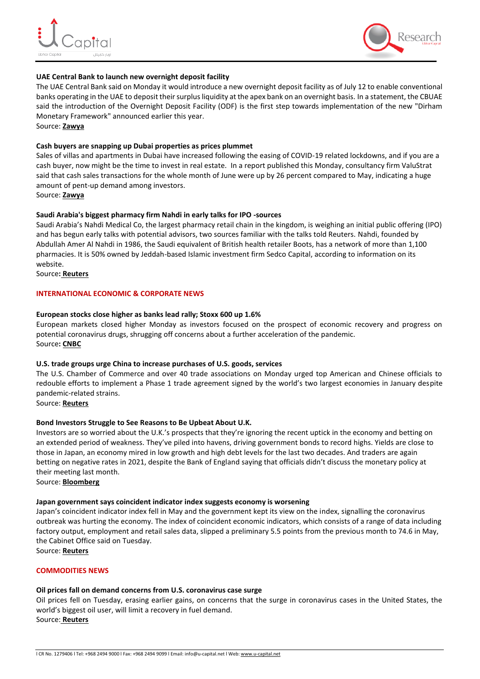



# **UAE Central Bank to launch new overnight deposit facility**

The UAE Central Bank said on Monday it would introduce a new overnight deposit facility as of July 12 to enable conventional banks operating in the UAE to deposit their surplus liquidity at the apex bank on an overnight basis. In a statement, the CBUAE said the introduction of the Overnight Deposit Facility (ODF) is the first step towards implementation of the new "Dirham Monetary Framework" announced earlier this year.

Source: **[Zawya](https://www.zawya.com/mena/en/economy/story/UAE_Central_Bank_to_launch_new_overnight_deposit_facility-SNG_178926890/)**

# **Cash buyers are snapping up Dubai properties as prices plummet**

Sales of villas and apartments in Dubai have increased following the easing of COVID-19 related lockdowns, and if you are a cash buyer, now might be the time to invest in real estate. In a report published this Monday, consultancy firm ValuStrat said that cash sales transactions for the whole month of June were up by 26 percent compared to May, indicating a huge amount of pent-up demand among investors.

Source: **[Zawya](https://www.zawya.com/mena/en/wealth/story/Cash_buyers_are_snapping_up_Dubai_properties_as_prices_plummet-ZAWYA20200706102125/)**

# **Saudi Arabia's biggest pharmacy firm Nahdi in early talks for IPO -sources**

Saudi Arabia's Nahdi Medical Co, the largest pharmacy retail chain in the kingdom, is weighing an initial public offering (IPO) and has begun early talks with potential advisors, two sources familiar with the talks told Reuters. Nahdi, founded by Abdullah Amer Al Nahdi in 1986, the Saudi equivalent of British health retailer Boots, has a network of more than 1,100 pharmacies. It is 50% owned by Jeddah-based Islamic investment firm Sedco Capital, according to information on its website.

Source**: [Reuters](https://www.reuters.com/article/nahdi-ipo/saudi-arabias-biggest-pharmacy-firm-nahdi-in-early-talks-for-ipo-sources-idUSL8N2EC02Q)**

# **INTERNATIONAL ECONOMIC & CORPORATE NEWS**

# **European stocks close higher as banks lead rally; Stoxx 600 up 1.6%**

European markets closed higher Monday as investors focused on the prospect of economic recovery and progress on potential coronavirus drugs, shrugging off concerns about a further acceleration of the pandemic. Source**: [CNBC](https://www.cnbc.com/2020/07/06/european-stocks-markets-look-to-economic-recovery-and-vaccine-hopes.html)**

#### **U.S. trade groups urge China to increase purchases of U.S. goods, services**

The U.S. Chamber of Commerce and over 40 trade associations on Monday urged top American and Chinese officials to redouble efforts to implement a Phase 1 trade agreement signed by the world's two largest economies in January despite pandemic-related strains.

Source: **[Reuters](https://www.reuters.com/article/us-usa-trade/u-s-trade-groups-urge-china-to-increase-purchases-of-u-s-goods-services-idUSKBN2471UY)**

# **Bond Investors Struggle to See Reasons to Be Upbeat About U.K.**

Investors are so worried about the U.K.'s prospects that they're ignoring the recent uptick in the economy and betting on an extended period of weakness. They've piled into havens, driving government bonds to record highs. Yields are close to those in Japan, an economy mired in low growth and high debt levels for the last two decades. And traders are again betting on negative rates in 2021, despite the Bank of England saying that officials didn't discuss the monetary policy at their meeting last month.

Source: **[Bloomberg](https://www.bloomberg.com/news/articles/2020-07-07/bond-investors-struggle-to-see-reasons-to-be-upbeat-about-u-k?srnd=markets-vp)**

#### **Japan government says coincident indicator index suggests economy is worsening**

Japan's coincident indicator index fell in May and the government kept its view on the index, signalling the coronavirus outbreak was hurting the economy. The index of coincident economic indicators, which consists of a range of data including factory output, employment and retail sales data, slipped a preliminary 5.5 points from the previous month to 74.6 in May, the Cabinet Office said on Tuesday.

Source: **[Reuters](https://www.reuters.com/article/us-health-coronavirus-japan-indicator/japan-government-says-coincident-indicator-index-suggests-economy-is-worsening-idUSKBN2480HM)**

# **COMMODITIES NEWS**

# **Oil prices fall on demand concerns from U.S. coronavirus case surge**

Oil prices fell on Tuesday, erasing earlier gains, on concerns that the surge in coronavirus cases in the United States, the world's biggest oil user, will limit a recovery in fuel demand. Source: **[Reuters](https://www.reuters.com/article/us-global-oil/oil-prices-fall-on-demand-concerns-from-u-s-coronavirus-case-surge-idUSKBN24804K)**